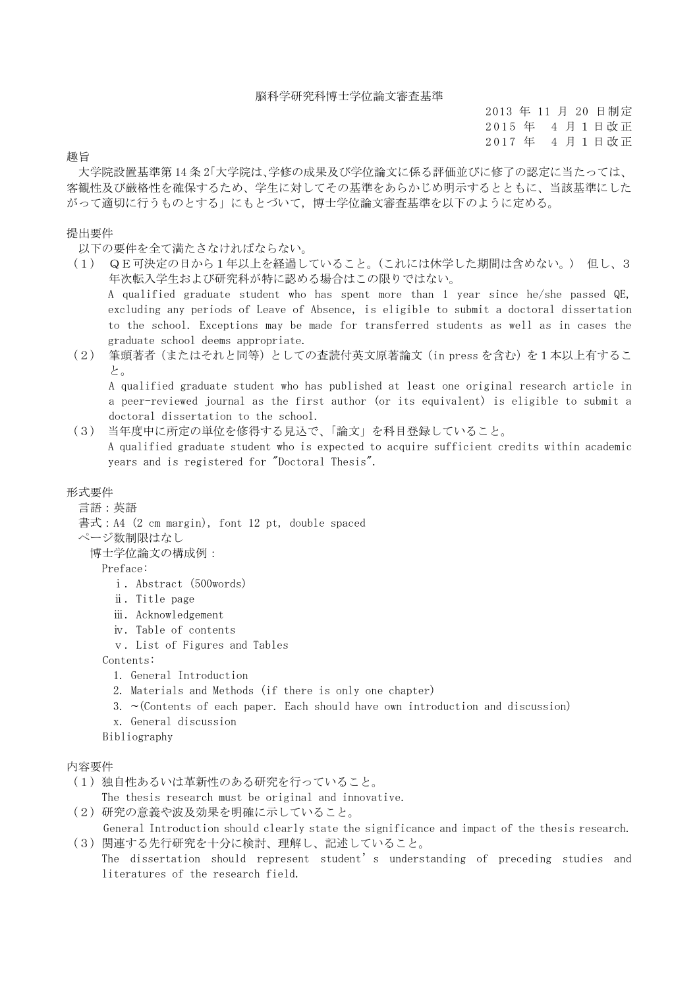2013 年 11 月 20 日制定 2015 年 4 月 1 日 改 正 2017 年 4 月 1 日 改 正

## 趣旨

大学院設置基準第 14 条 2「大学院は、学修の成果及び学位論文に係る評価並びに修了の認定に当たっては、 客観性及び厳格性を確保するため、学生に対してその基準をあらかじめ明示するとともに、当該基準にした がって適切に行うものとする」にもとづいて,博士学位論文審査基準を以下のように定める。

## 提出要件

以下の要件を全て満たさなければならない。

- (1) QE可決定の日から1年以上を経過していること。(これには休学した期間は含めない。) 但し、3 年次転入学生および研究科が特に認める場合はこの限りではない。 A qualified graduate student who has spent more than 1 year since he/she passed QE, excluding any periods of Leave of Absence, is eligible to submit a doctoral dissertation to the school. Exceptions may be made for transferred students as well as in cases the graduate school deems appropriate.
- (2) 筆頭著者(またはそれと同等)としての査読付英文原著論文(in press を含む)を1本以上有するこ と。

A qualified graduate student who has published at least one original research article in a peer-reviewed journal as the first author (or its equivalent) is eligible to submit a doctoral dissertation to the school.

(3) 当年度中に所定の単位を修得する見込で、「論文」を科目登録していること。 A qualified graduate student who is expected to acquire sufficient credits within academic years and is registered for "Doctoral Thesis".

形式要件

言語:英語

書式:A4 (2 cm margin), font 12 pt, double spaced

ページ数制限はなし

博士学位論文の構成例:

Preface:

- ⅰ. Abstract (500words)
- ⅱ. Title page
- ⅲ. Acknowledgement
- ⅳ. Table of contents
- ⅴ. List of Figures and Tables

Contents:

- 1. General Introduction
- 2. Materials and Methods (if there is only one chapter)
- 3.  $\sim$  (Contents of each paper. Each should have own introduction and discussion)
- x. General discussion
- Bibliography

## 内容要件

(1)独自性あるいは革新性のある研究を行っていること。

The thesis research must be original and innovative.

- (2)研究の意義や波及効果を明確に示していること。 General Introduction should clearly state the significance and impact of the thesis research.
- (3)関連する先行研究を十分に検討、理解し、記述していること。
	- The dissertation should represent student's understanding of preceding studies and literatures of the research field.